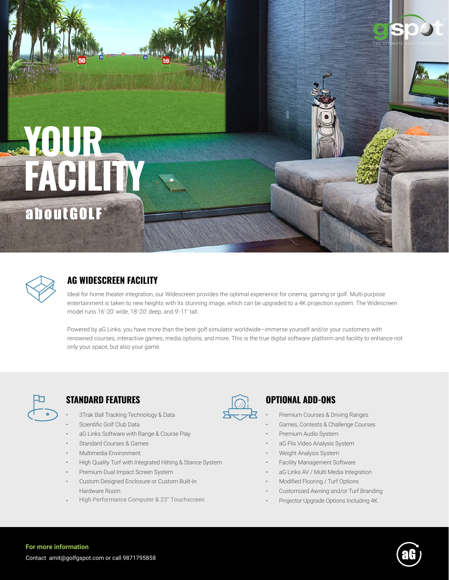# **YOUR FACILITY** aboutGOLF



# **AG WIDESCREEN FACILITY**

Ideal for home theater integration, our Widescreen provides the optimal experience for cinema, gaming or golf. Multi-purpose entertainment is taken to new heights with its stunning image, which can be upgraded to a 4K projection system. The Widescreen model runs 16'-20' wide, 18'-20' deep, and 9'-11' tall.

Powered by aG Links, you have more than the best golf simulator worldwide—immerse yourself and/or your customers with renowned courses, interactive games, media options, and more. This is the true digital software platform and facility to enhance not only your space, but also your game.



### **STANDARD FEATURES OPTIONAL ADD-ONS**

- 3Trak Ball Tracking Technology & Data
- Scientific Golf Club Data
- aG Links Software with Range & Course Play
- Standard Courses & Games
- Multimedia Environment
- High Quality Turf with Integrated Hitting & Stance System
- Premium Dual Impact Screen System
- Custom Designed Enclosure or Custom Built-In Hardware Room
- High Performance Computer & 23" Touchscreen



- Premium Courses & Driving Ranges
- Games, Contests & Challenge Courses

THE UI

- Premium Audio System
- aG Flix Video Analysis System
- Weight Analysis System
- Facility Management Software
- aG Links AV / Multi Media Integration
- Modified Flooring / Turf Options
- Customized Awning and/or Turf Branding
- Projector Upgrade Options Including 4K